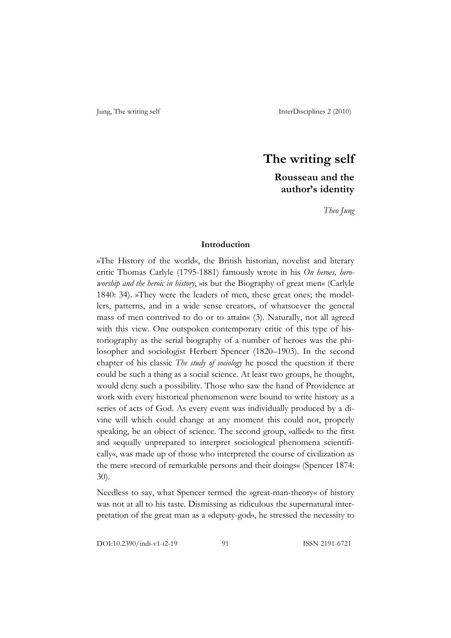# **The writing self**

## **Rousseau and the author's identity**

*Theo Jung*

### **Introduction**

»The History of the world«, the British historian, novelist and literary critic Thomas Carlyle (1795-1881) famously wrote in his *On heroes, heroworship and the heroic in history*, »is but the Biography of great men« (Carlyle 1840: 34). »They were the leaders of men, these great ones; the modellers, patterns, and in a wide sense creators, of whatsoever the general mass of men contrived to do or to attain« (3). Naturally, not all agreed with this view. One outspoken contemporary critic of this type of historiography as the serial biography of a number of heroes was the philosopher and sociologist Herbert Spencer (1820–1903). In the second chapter of his classic *The study of sociology* he posed the question if there could be such a thing as a social science. At least two groups, he thought, would deny such a possibility. Those who saw the hand of Providence at work with every historical phenomenon were bound to write history as a series of acts of God. As every event was individually produced by a divine will which could change at any moment this could not, properly speaking, be an object of science. The second group, »allied« to the first and »equally unprepared to interpret sociological phenomena scientifically«, was made up of those who interpreted the course of civilization as the mere »record of remarkable persons and their doings« (Spencer 1874: 30).

Needless to say, what Spencer termed the »great-man-theory« of history was not at all to his taste. Dismissing as ridiculous the supernatural interpretation of the great man as a »deputy-god«, he stressed the necessity to

DOI:10.2390/indi-v1-i2-19 91 ISSN 2191-6721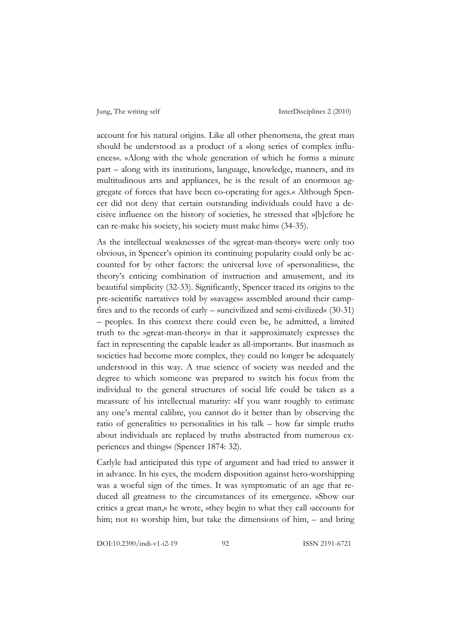account for his natural origins. Like all other phenomena, the great man should be understood as a product of a »long series of complex influences«. »Along with the whole generation of which he forms a minute part – along with its institutions, language, knowledge, manners, and its multitudinous arts and appliances, he is the result of an enormous aggregate of forces that have been co-operating for ages.« Although Spencer did not deny that certain outstanding individuals could have a decisive influence on the history of societies, he stressed that »[b]efore he can re-make his society, his society must make him« (34-35).

As the intellectual weaknesses of the »great-man-theory« were only too obvious, in Spencer's opinion its continuing popularity could only be accounted for by other factors: the universal love of »personalities«, the theory's enticing combination of instruction and amusement, and its beautiful simplicity (32-33). Significantly, Spencer traced its origins to the pre-scientific narratives told by »savages« assembled around their campfires and to the records of early – »uncivilized and semi-civilized« (30-31) – peoples. In this context there could even be, he admitted, a limited truth to the »great-man-theory« in that it »approximately expresses the fact in representing the capable leader as all-important«. But inasmuch as societies had become more complex, they could no longer be adequately understood in this way. A true science of society was needed and the degree to which someone was prepared to switch his focus from the individual to the general structures of social life could be taken as a meassure of his intellectual maturity: »If you want roughly to estimate any one's mental calibre, you cannot do it better than by observing the ratio of generalities to personalities in his talk – how far simple truths about individuals are replaced by truths abstracted from numerous experiences and things« (Spencer 1874: 32).

Carlyle had anticipated this type of argument and had tried to answer it in advance. In his eyes, the modern disposition against hero-worshipping was a woeful sign of the times. It was symptomatic of an age that reduced all greatness to the circumstances of its emergence. »Show our critics a great man,« he wrote, »they begin to what they call ›account‹ for him; not to worship him, but take the dimensions of him, – and bring

DOI:10.2390/indi-v1-i2-19 92 ISSN 2191-6721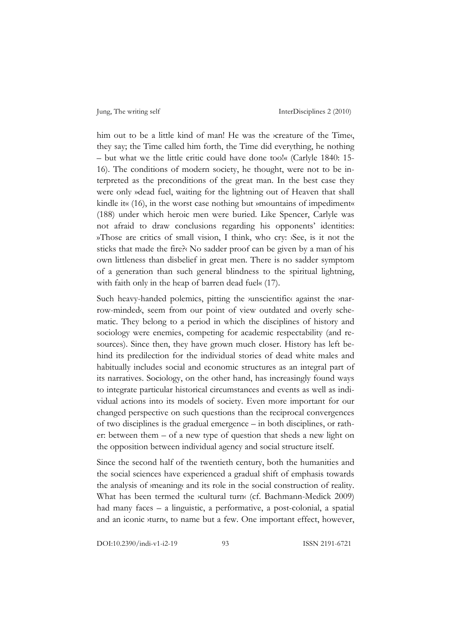him out to be a little kind of man! He was the *screature* of the Time, they say; the Time called him forth, the Time did everything, he nothing – but what we the little critic could have done too!« (Carlyle 1840: 15- 16). The conditions of modern society, he thought, were not to be interpreted as the preconditions of the great man. In the best case they were only »dead fuel, waiting for the lightning out of Heaven that shall kindle it« (16), in the worst case nothing but »mountains of impediment« (188) under which heroic men were buried. Like Spencer, Carlyle was not afraid to draw conclusions regarding his opponents' identities: »Those are critics of small vision, I think, who cry: ›See, is it not the sticks that made the fire?‹ No sadder proof can be given by a man of his own littleness than disbelief in great men. There is no sadder symptom of a generation than such general blindness to the spiritual lightning, with faith only in the heap of barren dead fuel« (17).

Such heavy-handed polemics, pitting the *v*unscientific against the *ynar*row-minded‹, seem from our point of view outdated and overly schematic. They belong to a period in which the disciplines of history and sociology were enemies, competing for academic respectability (and resources). Since then, they have grown much closer. History has left behind its predilection for the individual stories of dead white males and habitually includes social and economic structures as an integral part of its narratives. Sociology, on the other hand, has increasingly found ways to integrate particular historical circumstances and events as well as individual actions into its models of society. Even more important for our changed perspective on such questions than the reciprocal convergences of two disciplines is the gradual emergence – in both disciplines, or rather: between them – of a new type of question that sheds a new light on the opposition between individual agency and social structure itself.

Since the second half of the twentieth century, both the humanities and the social sciences have experienced a gradual shift of emphasis towards the analysis of ›meaning‹ and its role in the social construction of reality. What has been termed the *>cultural turn*< (cf. Bachmann-Medick 2009) had many faces – a linguistic, a performative, a post-colonial, a spatial and an iconic *vturn*, to name but a few. One important effect, however,

DOI:10.2390/indi-v1-i2-19 93 ISSN 2191-6721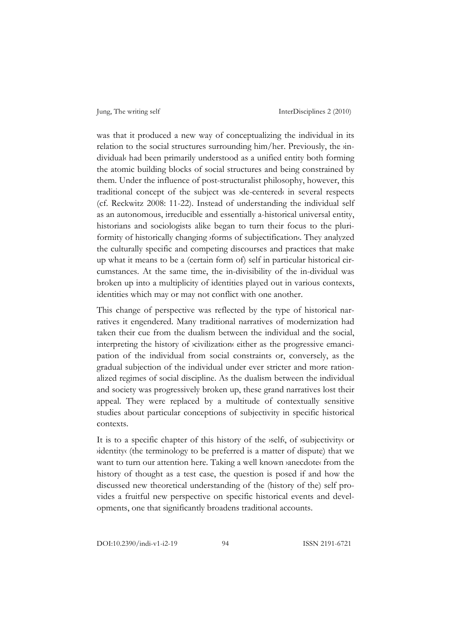was that it produced a new way of conceptualizing the individual in its relation to the social structures surrounding him/her. Previously, the *in*dividual‹ had been primarily understood as a unified entity both forming the atomic building blocks of social structures and being constrained by them. Under the influence of post-structuralist philosophy, however, this traditional concept of the subject was ›de-centered‹ in several respects (cf. Reckwitz 2008: 11-22). Instead of understanding the individual self as an autonomous, irreducible and essentially a-historical universal entity, historians and sociologists alike began to turn their focus to the pluriformity of historically changing *sforms* of subjectification. They analyzed the culturally specific and competing discourses and practices that make up what it means to be a (certain form of) self in particular historical circumstances. At the same time, the in-divisibility of the in-dividual was broken up into a multiplicity of identities played out in various contexts, identities which may or may not conflict with one another.

This change of perspective was reflected by the type of historical narratives it engendered. Many traditional narratives of modernization had taken their cue from the dualism between the individual and the social, interpreting the history of ›civilization‹ either as the progressive emancipation of the individual from social constraints or, conversely, as the gradual subjection of the individual under ever stricter and more rationalized regimes of social discipline. As the dualism between the individual and society was progressively broken up, these grand narratives lost their appeal. They were replaced by a multitude of contextually sensitive studies about particular conceptions of subjectivity in specific historical contexts.

It is to a specific chapter of this history of the *self*, of *subjectivity* or ›identity‹ (the terminology to be preferred is a matter of dispute) that we want to turn our attention here. Taking a well known *anecdote* from the history of thought as a test case, the question is posed if and how the discussed new theoretical understanding of the (history of the) self provides a fruitful new perspective on specific historical events and developments, one that significantly broadens traditional accounts.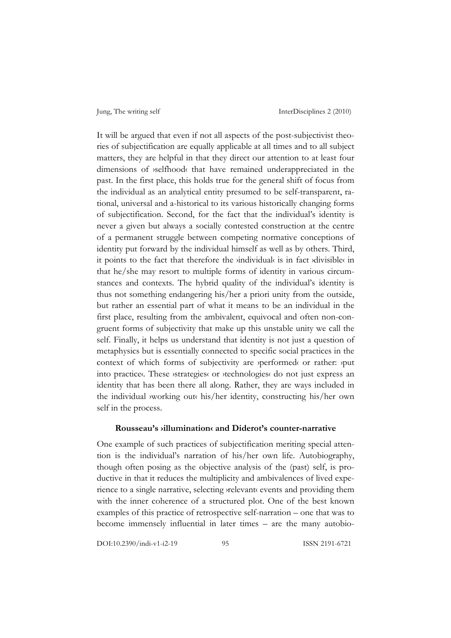It will be argued that even if not all aspects of the post-subjectivist theories of subjectification are equally applicable at all times and to all subject matters, they are helpful in that they direct our attention to at least four dimensions of *selfhood* that have remained underappreciated in the past. In the first place, this holds true for the general shift of focus from the individual as an analytical entity presumed to be self-transparent, rational, universal and a-historical to its various historically changing forms of subjectification. Second, for the fact that the individual's identity is never a given but always a socially contested construction at the centre of a permanent struggle between competing normative conceptions of identity put forward by the individual himself as well as by others. Third, it points to the fact that therefore the *individual* is in fact *divisible* in that he/she may resort to multiple forms of identity in various circumstances and contexts. The hybrid quality of the individual's identity is thus not something endangering his/her a priori unity from the outside, but rather an essential part of what it means to be an individual in the first place, resulting from the ambivalent, equivocal and often non-congruent forms of subjectivity that make up this unstable unity we call the self. Finally, it helps us understand that identity is not just a question of metaphysics but is essentially connected to specific social practices in the context of which forms of subjectivity are *yperformed* or rather: *yput* into practice. These *strategies* or *stechnologies* do not just express an identity that has been there all along. Rather, they are ways included in the individual *working* out his/her identity, constructing his/her own self in the process.

### **Rousseau's ›illumination‹ and Diderot's counter-narrative**

One example of such practices of subjectification meriting special attention is the individual's narration of his/her own life. Autobiography, though often posing as the objective analysis of the (past) self, is productive in that it reduces the multiplicity and ambivalences of lived experience to a single narrative, selecting *y*relevant events and providing them with the inner coherence of a structured plot. One of the best known examples of this practice of retrospective self-narration – one that was to become immensely influential in later times – are the many autobio-

DOI:10.2390/indi-v1-i2-19 95 ISSN 2191-6721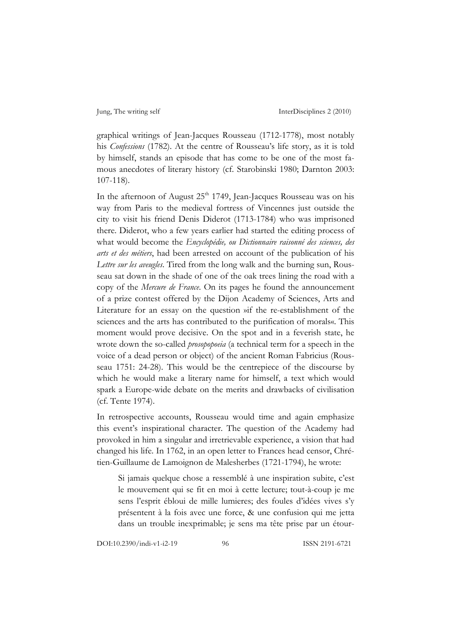graphical writings of Jean-Jacques Rousseau (1712-1778), most notably his *Confessions* (1782). At the centre of Rousseau's life story, as it is told by himself, stands an episode that has come to be one of the most famous anecdotes of literary history (cf. Starobinski 1980; Darnton 2003: 107-118).

In the afternoon of August 25<sup>th</sup> 1749, Jean-Jacques Rousseau was on his way from Paris to the medieval fortress of Vincennes just outside the city to visit his friend Denis Diderot (1713-1784) who was imprisoned there. Diderot, who a few years earlier had started the editing process of what would become the *Encyclopédie, ou Dictionnaire raisonné des sciences, des arts et des métiers*, had been arrested on account of the publication of his *Lettre sur les aveugles*. Tired from the long walk and the burning sun, Rousseau sat down in the shade of one of the oak trees lining the road with a copy of the *Mercure de France*. On its pages he found the announcement of a prize contest offered by the Dijon Academy of Sciences, Arts and Literature for an essay on the question »if the re-establishment of the sciences and the arts has contributed to the purification of morals«. This moment would prove decisive. On the spot and in a feverish state, he wrote down the so-called *prosopopoeia* (a technical term for a speech in the voice of a dead person or object) of the ancient Roman Fabricius (Rousseau 1751: 24-28). This would be the centrepiece of the discourse by which he would make a literary name for himself, a text which would spark a Europe-wide debate on the merits and drawbacks of civilisation (cf. Tente 1974).

In retrospective accounts, Rousseau would time and again emphasize this event's inspirational character. The question of the Academy had provoked in him a singular and irretrievable experience, a vision that had changed his life. In 1762, in an open letter to Frances head censor, Chrétien-Guillaume de Lamoignon de Malesherbes (1721-1794), he wrote:

Si jamais quelque chose a ressemblé à une inspiration subite, c'est le mouvement qui se fit en moi à cette lecture; tout-à-coup je me sens l'esprit ébloui de mille lumieres; des foules d'idées vives s'y présentent à la fois avec une force, & une confusion qui me jetta dans un trouble inexprimable; je sens ma tête prise par un étour-

DOI:10.2390/indi-v1-i2-19 96 ISSN 2191-6721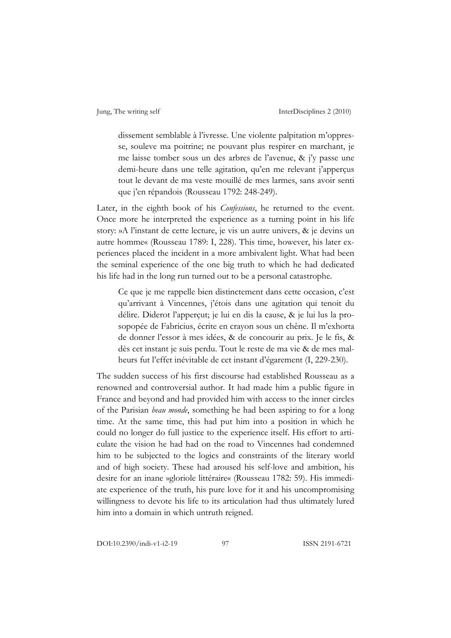dissement semblable à l'ivresse. Une violente palpitation m'oppresse, souleve ma poitrine; ne pouvant plus respirer en marchant, je me laisse tomber sous un des arbres de l'avenue, & j'y passe une demi-heure dans une telle agitation, qu'en me relevant j'apperçus tout le devant de ma veste mouillé de mes larmes, sans avoir senti que j'en répandois (Rousseau 1792: 248-249).

Later, in the eighth book of his *Confessions*, he returned to the event. Once more he interpreted the experience as a turning point in his life story: »A l'instant de cette lecture, je vis un autre univers, & je devins un autre homme« (Rousseau 1789: I, 228). This time, however, his later experiences placed the incident in a more ambivalent light. What had been the seminal experience of the one big truth to which he had dedicated his life had in the long run turned out to be a personal catastrophe.

Ce que je me rappelle bien distinctement dans cette occasion, c'est qu'arrivant à Vincennes, j'étois dans une agitation qui tenoit du délire. Diderot l'apperçut; je lui en dis la cause, & je lui lus la prosopopée de Fabricius, écrite en crayon sous un chêne. Il m'exhorta de donner l'essor à mes idées, & de concourir au prix. Je le fis, & dès cet instant je suis perdu. Tout le reste de ma vie & de mes malheurs fut l'effet inévitable de cet instant d'égarement (I, 229-230).

The sudden success of his first discourse had established Rousseau as a renowned and controversial author. It had made him a public figure in France and beyond and had provided him with access to the inner circles of the Parisian *beau monde*, something he had been aspiring to for a long time. At the same time, this had put him into a position in which he could no longer do full justice to the experience itself. His effort to articulate the vision he had had on the road to Vincennes had condemned him to be subjected to the logics and constraints of the literary world and of high society. These had aroused his self-love and ambition, his desire for an inane »gloriole littéraire« (Rousseau 1782: 59). His immediate experience of the truth, his pure love for it and his uncompromising willingness to devote his life to its articulation had thus ultimately lured him into a domain in which untruth reigned.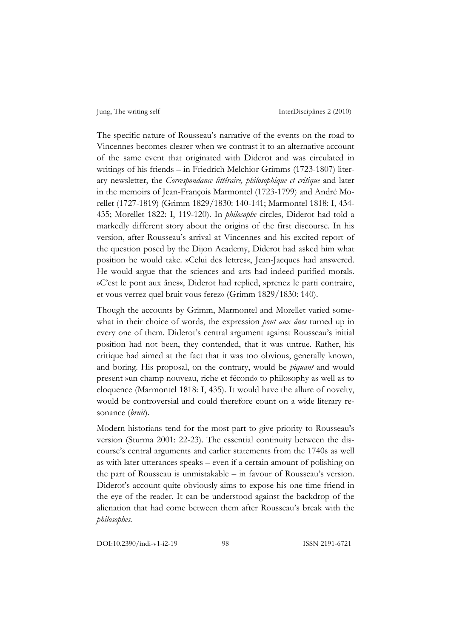The specific nature of Rousseau's narrative of the events on the road to Vincennes becomes clearer when we contrast it to an alternative account of the same event that originated with Diderot and was circulated in writings of his friends – in Friedrich Melchior Grimms (1723-1807) literary newsletter, the *Correspondance littéraire, philosophique et critique* and later in the memoirs of Jean-François Marmontel (1723-1799) and André Morellet (1727-1819) (Grimm 1829/1830: 140-141; Marmontel 1818: I, 434- 435; Morellet 1822: I, 119-120). In *philosophe* circles, Diderot had told a markedly different story about the origins of the first discourse. In his version, after Rousseau's arrival at Vincennes and his excited report of the question posed by the Dijon Academy, Diderot had asked him what position he would take. »Celui des lettres«, Jean-Jacques had answered. He would argue that the sciences and arts had indeed purified morals. »C'est le pont aux ânes«, Diderot had replied, »prenez le parti contraire, et vous verrez quel bruit vous ferez« (Grimm 1829/1830: 140).

Though the accounts by Grimm, Marmontel and Morellet varied somewhat in their choice of words, the expression *pont aux ânes* turned up in every one of them. Diderot's central argument against Rousseau's initial position had not been, they contended, that it was untrue. Rather, his critique had aimed at the fact that it was too obvious, generally known, and boring. His proposal, on the contrary, would be *piquant* and would present »un champ nouveau, riche et fécond« to philosophy as well as to eloquence (Marmontel 1818: I, 435). It would have the allure of novelty, would be controversial and could therefore count on a wide literary resonance (*bruit*).

Modern historians tend for the most part to give priority to Rousseau's version (Sturma 2001: 22-23). The essential continuity between the discourse's central arguments and earlier statements from the 1740s as well as with later utterances speaks – even if a certain amount of polishing on the part of Rousseau is unmistakable – in favour of Rousseau's version. Diderot's account quite obviously aims to expose his one time friend in the eye of the reader. It can be understood against the backdrop of the alienation that had come between them after Rousseau's break with the *philosophes*.

DOI:10.2390/indi-v1-i2-19 98 ISSN 2191-6721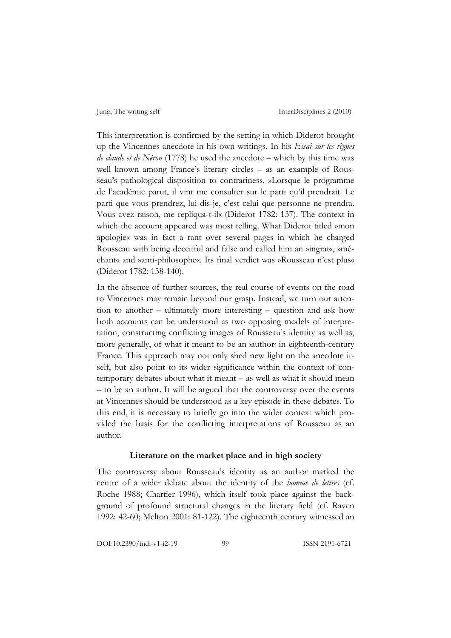This interpretation is confirmed by the setting in which Diderot brought up the Vincennes anecdote in his own writings. In his *Essai sur les règnes de claude et de Néron* (1778) he used the anecdote – which by this time was well known among France's literary circles – as an example of Rousseau's pathological disposition to contrariness. »Lorsque le programme de l'académie parut, il vint me consulter sur le parti qu'il prendrait. Le parti que vous prendrez, lui dis-je, c'est celui que personne ne prendra. Vous avez raison, me repliqua-t-il« (Diderot 1782: 137). The context in which the account appeared was most telling. What Diderot titled »mon apologie« was in fact a rant over several pages in which he charged Rousseau with being deceitful and false and called him an »ingrat«, »méchant« and »anti-philosophe«. Its final verdict was »Rousseau n'est plus« (Diderot 1782: 138-140).

In the absence of further sources, the real course of events on the road to Vincennes may remain beyond our grasp. Instead, we turn our attention to another – ultimately more interesting – question and ask how both accounts can be understood as two opposing models of interpretation, constructing conflicting images of Rousseau's identity as well as, more generally, of what it meant to be an *v*authors in eighteenth-century France. This approach may not only shed new light on the anecdote itself, but also point to its wider significance within the context of contemporary debates about what it meant – as well as what it should mean – to be an author. It will be argued that the controversy over the events at Vincennes should be understood as a key episode in these debates. To this end, it is necessary to briefly go into the wider context which provided the basis for the conflicting interpretations of Rousseau as an author.

#### **Literature on the market place and in high society**

The controversy about Rousseau's identity as an author marked the centre of a wider debate about the identity of the *homme de lettres* (cf. Roche 1988; Chartier 1996), which itself took place against the background of profound structural changes in the literary field (cf. Raven 1992: 42-60; Melton 2001: 81-122). The eighteenth century witnessed an

DOI:10.2390/indi-v1-i2-19 99 ISSN 2191-6721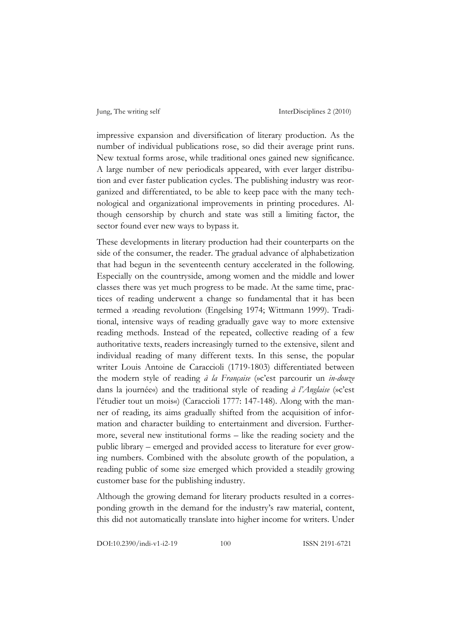impressive expansion and diversification of literary production. As the number of individual publications rose, so did their average print runs. New textual forms arose, while traditional ones gained new significance. A large number of new periodicals appeared, with ever larger distribution and ever faster publication cycles. The publishing industry was reorganized and differentiated, to be able to keep pace with the many technological and organizational improvements in printing procedures. Although censorship by church and state was still a limiting factor, the sector found ever new ways to bypass it.

These developments in literary production had their counterparts on the side of the consumer, the reader. The gradual advance of alphabetization that had begun in the seventeenth century accelerated in the following. Especially on the countryside, among women and the middle and lower classes there was yet much progress to be made. At the same time, practices of reading underwent a change so fundamental that it has been termed a ›reading revolution‹ (Engelsing 1974; Wittmann 1999). Traditional, intensive ways of reading gradually gave way to more extensive reading methods. Instead of the repeated, collective reading of a few authoritative texts, readers increasingly turned to the extensive, silent and individual reading of many different texts. In this sense, the popular writer Louis Antoine de Caraccioli (1719-1803) differentiated between the modern style of reading *à la Française* (»c'est parcourir un *in-douze* dans la journée«) and the traditional style of reading *à l'Anglaise* (»c'est l'étudier tout un mois«) (Caraccioli 1777: 147-148). Along with the manner of reading, its aims gradually shifted from the acquisition of information and character building to entertainment and diversion. Furthermore, several new institutional forms – like the reading society and the public library – emerged and provided access to literature for ever growing numbers. Combined with the absolute growth of the population, a reading public of some size emerged which provided a steadily growing customer base for the publishing industry.

Although the growing demand for literary products resulted in a corresponding growth in the demand for the industry's raw material, content, this did not automatically translate into higher income for writers. Under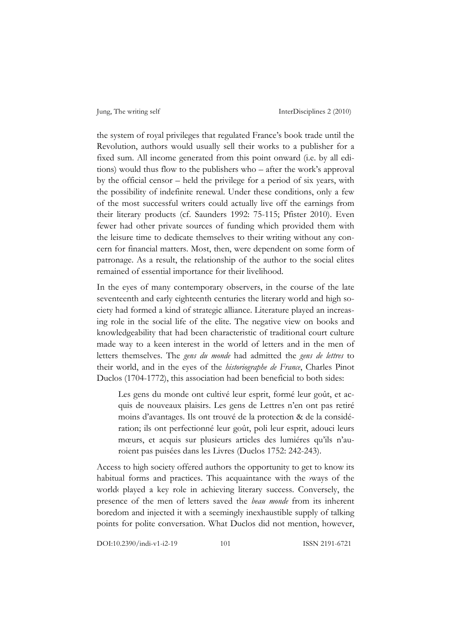the system of royal privileges that regulated France's book trade until the Revolution, authors would usually sell their works to a publisher for a fixed sum. All income generated from this point onward (i.e. by all editions) would thus flow to the publishers who – after the work's approval by the official censor – held the privilege for a period of six years, with the possibility of indefinite renewal. Under these conditions, only a few of the most successful writers could actually live off the earnings from their literary products (cf. Saunders 1992: 75-115; Pfister 2010). Even fewer had other private sources of funding which provided them with the leisure time to dedicate themselves to their writing without any concern for financial matters. Most, then, were dependent on some form of patronage. As a result, the relationship of the author to the social elites remained of essential importance for their livelihood.

In the eyes of many contemporary observers, in the course of the late seventeenth and early eighteenth centuries the literary world and high society had formed a kind of strategic alliance. Literature played an increasing role in the social life of the elite. The negative view on books and knowledgeability that had been characteristic of traditional court culture made way to a keen interest in the world of letters and in the men of letters themselves. The *gens du monde* had admitted the *gens de lettres* to their world, and in the eyes of the *historiographe de France*, Charles Pinot Duclos (1704-1772), this association had been beneficial to both sides:

Les gens du monde ont cultivé leur esprit, formé leur goût, et acquis de nouveaux plaisirs. Les gens de Lettres n'en ont pas retiré moins d'avantages. Ils ont trouvé de la protection & de la considération; ils ont perfectionné leur goût, poli leur esprit, adouci leurs mœurs, et acquis sur plusieurs articles des lumiéres qu'ils n'auroient pas puisées dans les Livres (Duclos 1752: 242-243).

Access to high society offered authors the opportunity to get to know its habitual forms and practices. This acquaintance with the *ways* of the world‹ played a key role in achieving literary success. Conversely, the presence of the men of letters saved the *beau monde* from its inherent boredom and injected it with a seemingly inexhaustible supply of talking points for polite conversation. What Duclos did not mention, however,

DOI:10.2390/indi-v1-i2-19 101 ISSN 2191-6721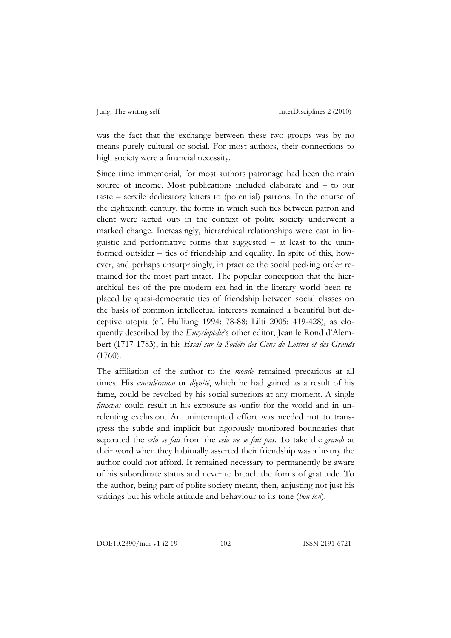was the fact that the exchange between these two groups was by no means purely cultural or social. For most authors, their connections to high society were a financial necessity.

Since time immemorial, for most authors patronage had been the main source of income. Most publications included elaborate and – to our taste – servile dedicatory letters to (potential) patrons. In the course of the eighteenth century, the forms in which such ties between patron and client were *v*acted out in the context of polite society underwent a marked change. Increasingly, hierarchical relationships were cast in linguistic and performative forms that suggested – at least to the uninformed outsider – ties of friendship and equality. In spite of this, however, and perhaps unsurprisingly, in practice the social pecking order remained for the most part intact. The popular conception that the hierarchical ties of the pre-modern era had in the literary world been replaced by quasi-democratic ties of friendship between social classes on the basis of common intellectual interests remained a beautiful but deceptive utopia (cf. Hulliung 1994: 78-88; Lilti 2005: 419-428), as eloquently described by the *Encyclopédie*'s other editor, Jean le Rond d'Alembert (1717-1783), in his *Essai sur la Société des Gens de Lettres et des Grands*  (1760).

The affiliation of the author to the *monde* remained precarious at all times. His *considération* or *dignité*, which he had gained as a result of his fame, could be revoked by his social superiors at any moment. A single *fauxpas* could result in his exposure as *v*unfit for the world and in unrelenting exclusion. An uninterrupted effort was needed not to transgress the subtle and implicit but rigorously monitored boundaries that separated the *cela se fait* from the *cela ne se fait pas*. To take the *grands* at their word when they habitually asserted their friendship was a luxury the author could not afford. It remained necessary to permanently be aware of his subordinate status and never to breach the forms of gratitude. To the author, being part of polite society meant, then, adjusting not just his writings but his whole attitude and behaviour to its tone (*bon ton*).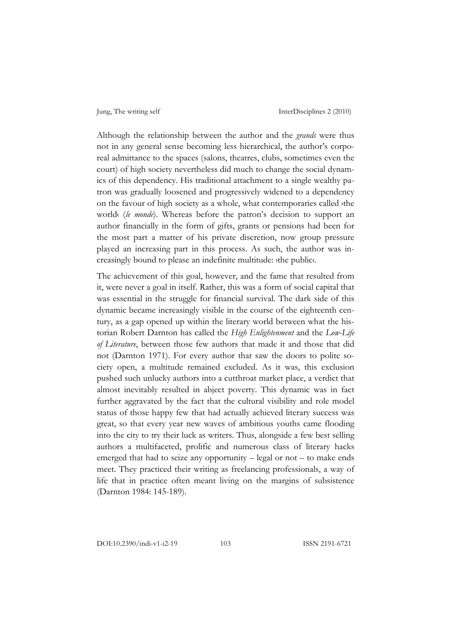Although the relationship between the author and the *grands* were thus not in any general sense becoming less hierarchical, the author's corporeal admittance to the spaces (salons, theatres, clubs, sometimes even the court) of high society nevertheless did much to change the social dynamics of this dependency. His traditional attachment to a single wealthy patron was gradually loosened and progressively widened to a dependency on the favour of high society as a whole, what contemporaries called ›the world‹ (*le monde*). Whereas before the patron's decision to support an author financially in the form of gifts, grants or pensions had been for the most part a matter of his private discretion, now group pressure played an increasing part in this process. As such, the author was increasingly bound to please an indefinite multitude: ›the public‹.

The achievement of this goal, however, and the fame that resulted from it, were never a goal in itself. Rather, this was a form of social capital that was essential in the struggle for financial survival. The dark side of this dynamic became increasingly visible in the course of the eighteenth century, as a gap opened up within the literary world between what the historian Robert Darnton has called the *High Enlightenment* and the *Low-Life of Literature*, between those few authors that made it and those that did not (Darnton 1971). For every author that saw the doors to polite society open, a multitude remained excluded. As it was, this exclusion pushed such unlucky authors into a cutthroat market place, a verdict that almost inevitably resulted in abject poverty. This dynamic was in fact further aggravated by the fact that the cultural visibility and role model status of those happy few that had actually achieved literary success was great, so that every year new waves of ambitious youths came flooding into the city to try their luck as writers. Thus, alongside a few best selling authors a multifaceted, prolific and numerous class of literary hacks emerged that had to seize any opportunity – legal or not – to make ends meet. They practiced their writing as freelancing professionals, a way of life that in practice often meant living on the margins of subsistence (Darnton 1984: 145-189).

DOI:10.2390/indi-v1-i2-19 103 ISSN 2191-6721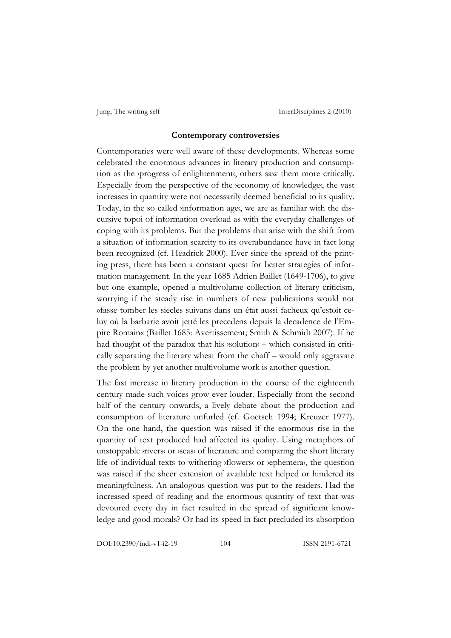#### **Contemporary controversies**

Contemporaries were well aware of these developments. Whereas some celebrated the enormous advances in literary production and consumption as the *yprogress* of enlightenment, others saw them more critically. Especially from the perspective of the *veconomy* of knowledge, the vast increases in quantity were not necessarily deemed beneficial to its quality. Today, in the so called *information* ages, we are as familiar with the discursive topoi of information overload as with the everyday challenges of coping with its problems. But the problems that arise with the shift from a situation of information scarcity to its overabundance have in fact long been recognized (cf. Headrick 2000). Ever since the spread of the printing press, there has been a constant quest for better strategies of information management. In the year 1685 Adrien Baillet (1649-1706), to give but one example, opened a multivolume collection of literary criticism, worrying if the steady rise in numbers of new publications would not »fasse tomber les siecles suivans dans un état aussi facheux qu'estoit celuy où la barbarie avoit jetté les precedens depuis la decadence de l'Empire Romain« (Baillet 1685: Avertissement; Smith & Schmidt 2007). If he had thought of the paradox that his *solution*  $\epsilon$  – which consisted in critically separating the literary wheat from the chaff – would only aggravate the problem by yet another multivolume work is another question.

The fast increase in literary production in the course of the eighteenth century made such voices grow ever louder. Especially from the second half of the century onwards, a lively debate about the production and consumption of literature unfurled (cf. Goetsch 1994; Kreuzer 1977). On the one hand, the question was raised if the enormous rise in the quantity of text produced had affected its quality. Using metaphors of unstoppable ›rivers‹ or ›seas‹ of literature and comparing the short literary life of individual texts to withering ›flowers‹ or ›ephemera‹, the question was raised if the sheer extension of available text helped or hindered its meaningfulness. An analogous question was put to the readers. Had the increased speed of reading and the enormous quantity of text that was devoured every day in fact resulted in the spread of significant knowledge and good morals? Or had its speed in fact precluded its absorption

DOI:10.2390/indi-v1-i2-19 104 ISSN 2191-6721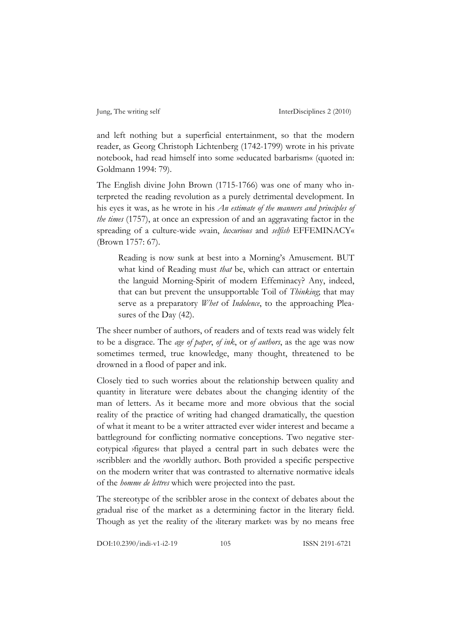and left nothing but a superficial entertainment, so that the modern reader, as Georg Christoph Lichtenberg (1742-1799) wrote in his private notebook, had read himself into some »educated barbarism« (quoted in: Goldmann 1994: 79).

The English divine John Brown (1715-1766) was one of many who interpreted the reading revolution as a purely detrimental development. In his eyes it was, as he wrote in his *An estimate of the manners and principles of the times* (1757), at once an expression of and an aggravating factor in the spreading of a culture-wide »vain, *luxurious* and *selfish* EFFEMINACY« (Brown 1757: 67).

Reading is now sunk at best into a Morning's Amusement. BUT what kind of Reading must *that* be, which can attract or entertain the languid Morning-Spirit of modern Effeminacy? Any, indeed, that can but prevent the unsupportable Toil of *Thinking*; that may serve as a preparatory *Whet* of *Indolence*, to the approaching Pleasures of the Day (42).

The sheer number of authors, of readers and of texts read was widely felt to be a disgrace. The *age of paper*, *of ink*, or *of authors*, as the age was now sometimes termed, true knowledge, many thought, threatened to be drowned in a flood of paper and ink.

Closely tied to such worries about the relationship between quality and quantity in literature were debates about the changing identity of the man of letters. As it became more and more obvious that the social reality of the practice of writing had changed dramatically, the question of what it meant to be a writer attracted ever wider interest and became a battleground for conflicting normative conceptions. Two negative stereotypical ›figures‹ that played a central part in such debates were the ›scribbler‹ and the ›worldly author‹. Both provided a specific perspective on the modern writer that was contrasted to alternative normative ideals of the *homme de lettres* which were projected into the past.

The stereotype of the scribbler arose in the context of debates about the gradual rise of the market as a determining factor in the literary field. Though as yet the reality of the *sliterary* market was by no means free

DOI:10.2390/indi-v1-i2-19 105 ISSN 2191-6721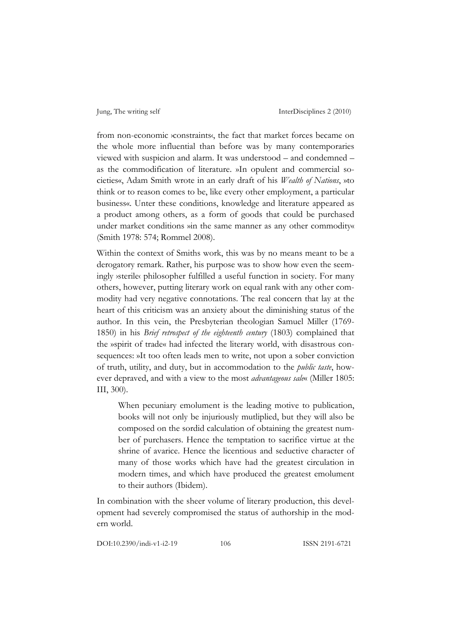from non-economic *>constraints*<sup>{</sup>, the fact that market forces became on the whole more influential than before was by many contemporaries viewed with suspicion and alarm. It was understood – and condemned – as the commodification of literature. »In opulent and commercial societies«, Adam Smith wrote in an early draft of his *Wealth of Nations*, »to think or to reason comes to be, like every other employment, a particular business«. Unter these conditions, knowledge and literature appeared as a product among others, as a form of goods that could be purchased under market conditions »in the same manner as any other commodity« (Smith 1978: 574; Rommel 2008).

Within the context of Smiths work, this was by no means meant to be a derogatory remark. Rather, his purpose was to show how even the seemingly ›sterile‹ philosopher fulfilled a useful function in society. For many others, however, putting literary work on equal rank with any other commodity had very negative connotations. The real concern that lay at the heart of this criticism was an anxiety about the diminishing status of the author. In this vein, the Presbyterian theologian Samuel Miller (1769- 1850) in his *Brief retrospect of the eighteenth century* (1803) complained that the »spirit of trade« had infected the literary world, with disastrous consequences: »It too often leads men to write, not upon a sober conviction of truth, utility, and duty, but in accommodation to the *public taste*, however depraved, and with a view to the most *advantageous sale*« (Miller 1805: III, 300).

When pecuniary emolument is the leading motive to publication, books will not only be injuriously mutliplied, but they will also be composed on the sordid calculation of obtaining the greatest number of purchasers. Hence the temptation to sacrifice virtue at the shrine of avarice. Hence the licentious and seductive character of many of those works which have had the greatest circulation in modern times, and which have produced the greatest emolument to their authors (Ibidem).

In combination with the sheer volume of literary production, this development had severely compromised the status of authorship in the modern world.

DOI:10.2390/indi-v1-i2-19 106 ISSN 2191-6721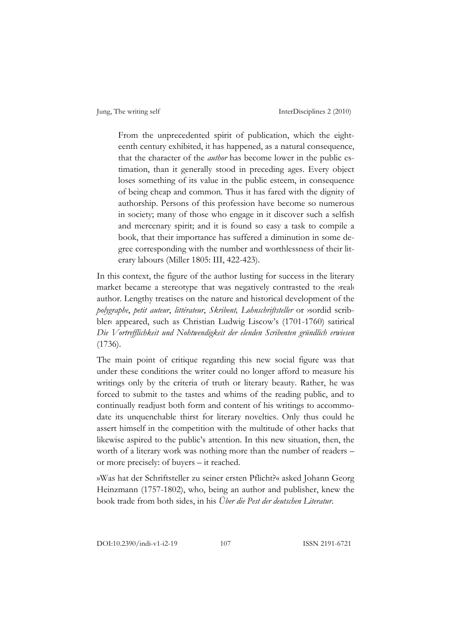From the unprecedented spirit of publication, which the eighteenth century exhibited, it has happened, as a natural consequence, that the character of the *author* has become lower in the public estimation, than it generally stood in preceding ages. Every object loses something of its value in the public esteem, in consequence of being cheap and common. Thus it has fared with the dignity of authorship. Persons of this profession have become so numerous in society; many of those who engage in it discover such a selfish and mercenary spirit; and it is found so easy a task to compile a book, that their importance has suffered a diminution in some degree corresponding with the number and worthlessness of their literary labours (Miller 1805: III, 422-423).

In this context, the figure of the author lusting for success in the literary market became a stereotype that was negatively contrasted to the *yreal*‹ author. Lengthy treatises on the nature and historical development of the *polygraphe*, *petit auteur*, *littérateur*, *Skribent, Lohnschriftsteller* or ›sordid scribbler« appeared, such as Christian Ludwig Liscow's (1701-1760) satirical *Die Vortrefflichkeit und Nohtwendigkeit der elenden Scribenten gründlich erwiesen* (1736).

The main point of critique regarding this new social figure was that under these conditions the writer could no longer afford to measure his writings only by the criteria of truth or literary beauty. Rather, he was forced to submit to the tastes and whims of the reading public, and to continually readjust both form and content of his writings to accommodate its unquenchable thirst for literary novelties. Only thus could he assert himself in the competition with the multitude of other hacks that likewise aspired to the public's attention. In this new situation, then, the worth of a literary work was nothing more than the number of readers – or more precisely: of buyers – it reached.

»Was hat der Schriftsteller zu seiner ersten Pflicht?« asked Johann Georg Heinzmann (1757-1802), who, being an author and publisher, knew the book trade from both sides, in his *Über die Pest der deutschen Literatur*.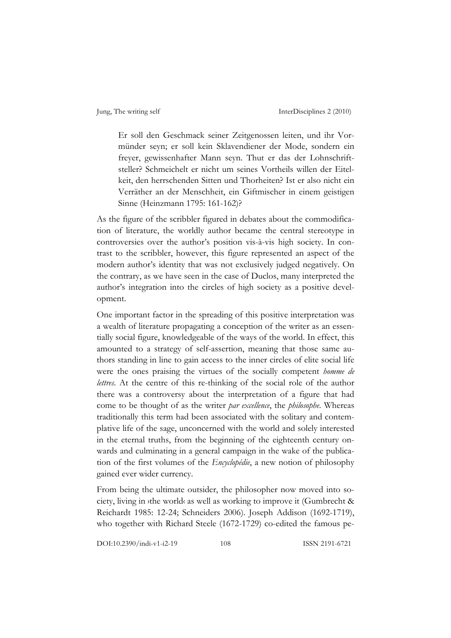Er soll den Geschmack seiner Zeitgenossen leiten, und ihr Vormünder seyn; er soll kein Sklavendiener der Mode, sondern ein freyer, gewissenhafter Mann seyn. Thut er das der Lohnschriftsteller? Schmeichelt er nicht um seines Vortheils willen der Eitelkeit, den herrschenden Sitten und Thorheiten? Ist er also nicht ein Verräther an der Menschheit, ein Giftmischer in einem geistigen Sinne (Heinzmann 1795: 161-162)?

As the figure of the scribbler figured in debates about the commodification of literature, the worldly author became the central stereotype in controversies over the author's position vis-à-vis high society. In contrast to the scribbler, however, this figure represented an aspect of the modern author's identity that was not exclusively judged negatively. On the contrary, as we have seen in the case of Duclos, many interpreted the author's integration into the circles of high society as a positive development.

One important factor in the spreading of this positive interpretation was a wealth of literature propagating a conception of the writer as an essentially social figure, knowledgeable of the ways of the world. In effect, this amounted to a strategy of self-assertion, meaning that those same authors standing in line to gain access to the inner circles of elite social life were the ones praising the virtues of the socially competent *homme de lettres*. At the centre of this re-thinking of the social role of the author there was a controversy about the interpretation of a figure that had come to be thought of as the writer *par excellence*, the *philosophe*. Whereas traditionally this term had been associated with the solitary and contemplative life of the sage, unconcerned with the world and solely interested in the eternal truths, from the beginning of the eighteenth century onwards and culminating in a general campaign in the wake of the publication of the first volumes of the *Encyclopédie*, a new notion of philosophy gained ever wider currency.

From being the ultimate outsider, the philosopher now moved into society, living in ›the world‹ as well as working to improve it (Gumbrecht & Reichardt 1985: 12-24; Schneiders 2006). Joseph Addison (1692-1719), who together with Richard Steele (1672-1729) co-edited the famous pe-

DOI:10.2390/indi-v1-i2-19 108 ISSN 2191-6721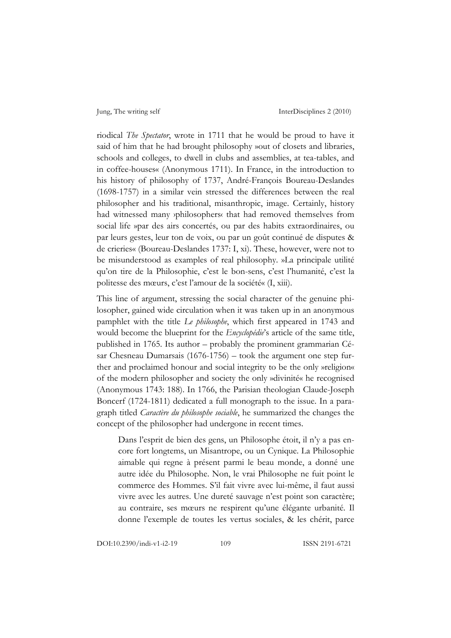riodical *The Spectator*, wrote in 1711 that he would be proud to have it said of him that he had brought philosophy »out of closets and libraries, schools and colleges, to dwell in clubs and assemblies, at tea-tables, and in coffee-houses« (Anonymous 1711). In France, in the introduction to his history of philosophy of 1737, André-François Boureau-Deslandes (1698-1757) in a similar vein stressed the differences between the real philosopher and his traditional, misanthropic, image. Certainly, history had witnessed many ›philosophers‹ that had removed themselves from social life »par des airs concertés, ou par des habits extraordinaires, ou par leurs gestes, leur ton de voix, ou par un goût continué de disputes & de crieries« (Boureau-Deslandes 1737: I, xi). These, however, were not to be misunderstood as examples of real philosophy. »La principale utilité qu'on tire de la Philosophie, c'est le bon-sens, c'est l'humanité, c'est la politesse des mœurs, c'est l'amour de la société« (I, xiii).

This line of argument, stressing the social character of the genuine philosopher, gained wide circulation when it was taken up in an anonymous pamphlet with the title *Le philosophe*, which first appeared in 1743 and would become the blueprint for the *Encyclopédie*'s article of the same title, published in 1765. Its author – probably the prominent grammarian César Chesneau Dumarsais (1676-1756) – took the argument one step further and proclaimed honour and social integrity to be the only »religion« of the modern philosopher and society the only »divinité« he recognised (Anonymous 1743: 188). In 1766, the Parisian theologian Claude-Joseph Boncerf (1724-1811) dedicated a full monograph to the issue. In a paragraph titled *Caractère du philosophe sociable*, he summarized the changes the concept of the philosopher had undergone in recent times.

Dans l'esprit de bien des gens, un Philosophe étoit, il n'y a pas encore fort longtems, un Misantrope, ou un Cynique. La Philosophie aimable qui regne à présent parmi le beau monde, a donné une autre idée du Philosophe. Non, le vrai Philosophe ne fuit point le commerce des Hommes. S'il fait vivre avec lui-même, il faut aussi vivre avec les autres. Une dureté sauvage n'est point son caractère; au contraire, ses mœurs ne respirent qu'une élégante urbanité. Il donne l'exemple de toutes les vertus sociales, & les chérit, parce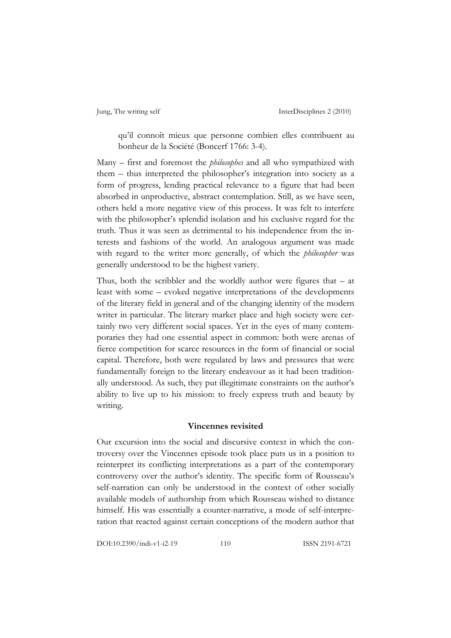qu'il connoît mieux que personne combien elles contribuent au bonheur de la Société (Boncerf 1766: 3-4).

Many – first and foremost the *philosophes* and all who sympathized with them – thus interpreted the philosopher's integration into society as a form of progress, lending practical relevance to a figure that had been absorbed in unproductive, abstract contemplation. Still, as we have seen, others held a more negative view of this process. It was felt to interfere with the philosopher's splendid isolation and his exclusive regard for the truth. Thus it was seen as detrimental to his independence from the interests and fashions of the world. An analogous argument was made with regard to the writer more generally, of which the *philosopher* was generally understood to be the highest variety.

Thus, both the scribbler and the worldly author were figures that – at least with some – evoked negative interpretations of the developments of the literary field in general and of the changing identity of the modern writer in particular. The literary market place and high society were certainly two very different social spaces. Yet in the eyes of many contemporaries they had one essential aspect in common: both were arenas of fierce competition for scarce resources in the form of financial or social capital. Therefore, both were regulated by laws and pressures that were fundamentally foreign to the literary endeavour as it had been traditionally understood. As such, they put illegitimate constraints on the author's ability to live up to his mission: to freely express truth and beauty by writing.

#### **Vincennes revisited**

Our excursion into the social and discursive context in which the controversy over the Vincennes episode took place puts us in a position to reinterpret its conflicting interpretations as a part of the contemporary controversy over the author's identity. The specific form of Rousseau's self-narration can only be understood in the context of other socially available models of authorship from which Rousseau wished to distance himself. His was essentially a counter-narrative, a mode of self-interpretation that reacted against certain conceptions of the modern author that

DOI:10.2390/indi-v1-i2-19 110 ISSN 2191-6721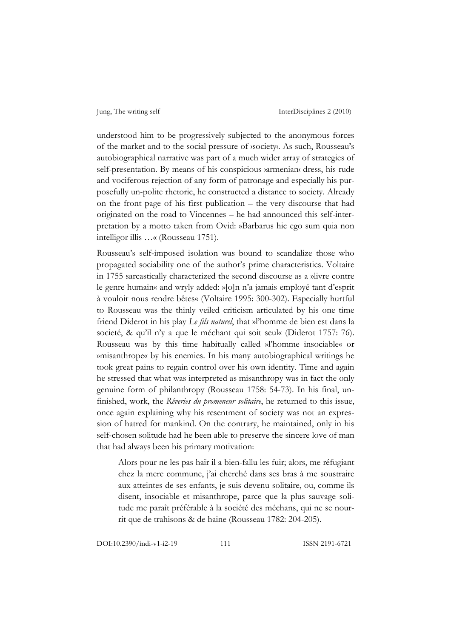understood him to be progressively subjected to the anonymous forces of the market and to the social pressure of ›society‹. As such, Rousseau's autobiographical narrative was part of a much wider array of strategies of self-presentation. By means of his conspicious varmenian« dress, his rude and vociferous rejection of any form of patronage and especially his purposefully un-polite rhetoric, he constructed a distance to society. Already on the front page of his first publication – the very discourse that had originated on the road to Vincennes – he had announced this self-interpretation by a motto taken from Ovid: »Barbarus hic ego sum quia non intelligor illis …« (Rousseau 1751).

Rousseau's self-imposed isolation was bound to scandalize those who propagated sociability one of the author's prime characteristics. Voltaire in 1755 sarcastically characterized the second discourse as a »livre contre le genre humain« and wryly added: »[o]n n'a jamais employé tant d'esprit à vouloir nous rendre bêtes« (Voltaire 1995: 300-302). Especially hurtful to Rousseau was the thinly veiled criticism articulated by his one time friend Diderot in his play *Le fils naturel*, that »l'homme de bien est dans la societé, & qu'il n'y a que le méchant qui soit seul« (Diderot 1757: 76). Rousseau was by this time habitually called »l'homme insociable« or »misanthrope« by his enemies. In his many autobiographical writings he took great pains to regain control over his own identity. Time and again he stressed that what was interpreted as misanthropy was in fact the only genuine form of philanthropy (Rousseau 1758: 54-73). In his final, unfinished, work, the *Rêveries du promeneur solitaire*, he returned to this issue, once again explaining why his resentment of society was not an expression of hatred for mankind. On the contrary, he maintained, only in his self-chosen solitude had he been able to preserve the sincere love of man that had always been his primary motivation:

Alors pour ne les pas haïr il a bien-fallu les fuir; alors, me réfugiant chez la mere commune, j'ai cherché dans ses bras à me soustraire aux atteintes de ses enfants, je suis devenu solitaire, ou, comme ils disent, insociable et misanthrope, parce que la plus sauvage solitude me paraît préférable à la société des méchans, qui ne se nourrit que de trahisons & de haine (Rousseau 1782: 204-205).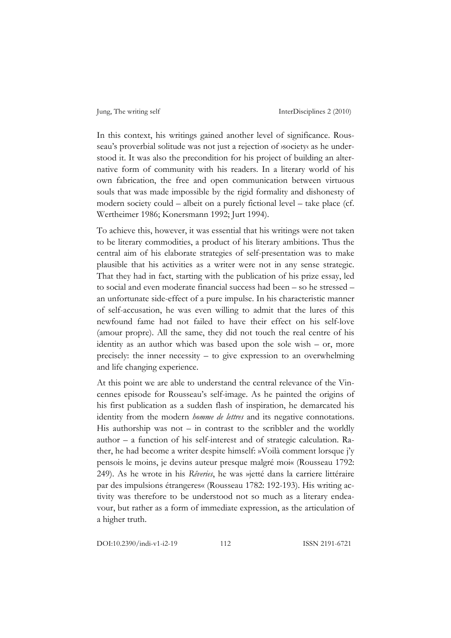In this context, his writings gained another level of significance. Rousseau's proverbial solitude was not just a rejection of ›society‹ as he understood it. It was also the precondition for his project of building an alternative form of community with his readers. In a literary world of his own fabrication, the free and open communication between virtuous souls that was made impossible by the rigid formality and dishonesty of modern society could – albeit on a purely fictional level – take place (cf. Wertheimer 1986; Konersmann 1992; Jurt 1994).

To achieve this, however, it was essential that his writings were not taken to be literary commodities, a product of his literary ambitions. Thus the central aim of his elaborate strategies of self-presentation was to make plausible that his activities as a writer were not in any sense strategic. That they had in fact, starting with the publication of his prize essay, led to social and even moderate financial success had been – so he stressed – an unfortunate side-effect of a pure impulse. In his characteristic manner of self-accusation, he was even willing to admit that the lures of this newfound fame had not failed to have their effect on his self-love (amour propre). All the same, they did not touch the real centre of his identity as an author which was based upon the sole wish – or, more precisely: the inner necessity – to give expression to an overwhelming and life changing experience.

At this point we are able to understand the central relevance of the Vincennes episode for Rousseau's self-image. As he painted the origins of his first publication as a sudden flash of inspiration, he demarcated his identity from the modern *homme de lettres* and its negative connotations. His authorship was not  $-$  in contrast to the scribbler and the worldly author – a function of his self-interest and of strategic calculation. Rather, he had become a writer despite himself: »Voilà comment lorsque j'y pensois le moins, je devins auteur presque malgré moi« (Rousseau 1792: 249). As he wrote in his *Rêveries*, he was »jetté dans la carriere littéraire par des impulsions étrangeres« (Rousseau 1782: 192-193). His writing activity was therefore to be understood not so much as a literary endeavour, but rather as a form of immediate expression, as the articulation of a higher truth.

DOI:10.2390/indi-v1-i2-19 112 ISSN 2191-6721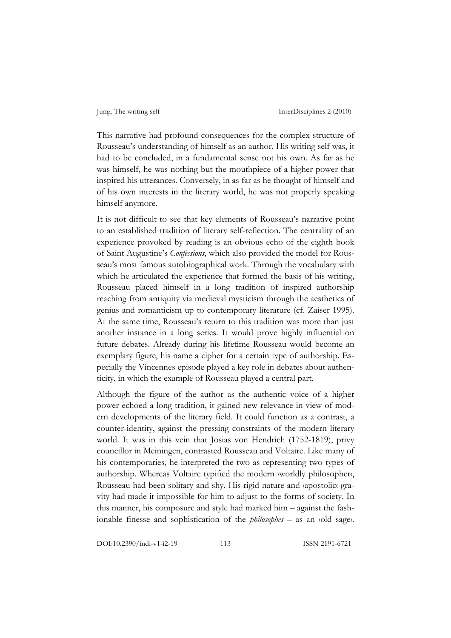This narrative had profound consequences for the complex structure of Rousseau's understanding of himself as an author. His writing self was, it had to be concluded, in a fundamental sense not his own. As far as he was himself, he was nothing but the mouthpiece of a higher power that inspired his utterances. Conversely, in as far as he thought of himself and of his own interests in the literary world, he was not properly speaking himself anymore.

It is not difficult to see that key elements of Rousseau's narrative point to an established tradition of literary self-reflection. The centrality of an experience provoked by reading is an obvious echo of the eighth book of Saint Augustine's *Confessions*, which also provided the model for Rousseau's most famous autobiographical work. Through the vocabulary with which he articulated the experience that formed the basis of his writing, Rousseau placed himself in a long tradition of inspired authorship reaching from antiquity via medieval mysticism through the aesthetics of genius and romanticism up to contemporary literature (cf. Zaiser 1995). At the same time, Rousseau's return to this tradition was more than just another instance in a long series. It would prove highly influential on future debates. Already during his lifetime Rousseau would become an exemplary figure, his name a cipher for a certain type of authorship. Especially the Vincennes episode played a key role in debates about authenticity, in which the example of Rousseau played a central part.

Although the figure of the author as the authentic voice of a higher power echoed a long tradition, it gained new relevance in view of modern developments of the literary field. It could function as a contrast, a counter-identity, against the pressing constraints of the modern literary world. It was in this vein that Josias von Hendrich (1752-1819), privy councillor in Meiningen, contrasted Rousseau and Voltaire. Like many of his contemporaries, he interpreted the two as representing two types of authorship. Whereas Voltaire typified the modern ›worldly philosopher‹, Rousseau had been solitary and shy. His rigid nature and ›apostolic‹ gravity had made it impossible for him to adjust to the forms of society. In this manner, his composure and style had marked him – against the fashionable finesse and sophistication of the *philosophes* – as an *yold* sage.

DOI:10.2390/indi-v1-i2-19 113 ISSN 2191-6721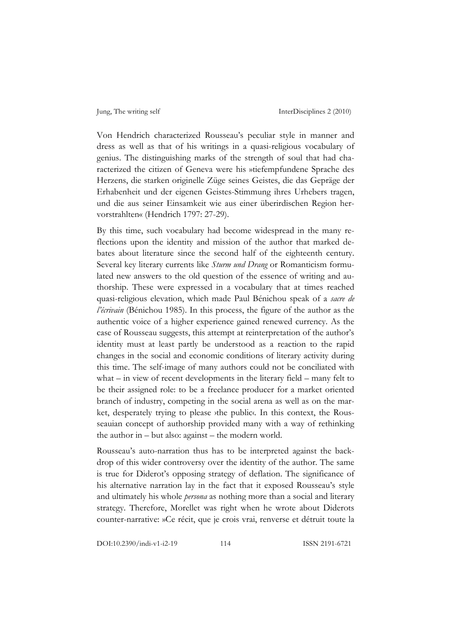Von Hendrich characterized Rousseau's peculiar style in manner and dress as well as that of his writings in a quasi-religious vocabulary of genius. The distinguishing marks of the strength of soul that had characterized the citizen of Geneva were his »tiefempfundene Sprache des Herzens, die starken originelle Züge seines Geistes, die das Gepräge der Erhabenheit und der eigenen Geistes-Stimmung ihres Urhebers tragen, und die aus seiner Einsamkeit wie aus einer überirdischen Region hervorstrahlten« (Hendrich 1797: 27-29).

By this time, such vocabulary had become widespread in the many reflections upon the identity and mission of the author that marked debates about literature since the second half of the eighteenth century. Several key literary currents like *Sturm und Drang* or Romanticism formulated new answers to the old question of the essence of writing and authorship. These were expressed in a vocabulary that at times reached quasi-religious elevation, which made Paul Bénichou speak of a *sacre de l'écrivain* (Bénichou 1985). In this process, the figure of the author as the authentic voice of a higher experience gained renewed currency. As the case of Rousseau suggests, this attempt at reinterpretation of the author's identity must at least partly be understood as a reaction to the rapid changes in the social and economic conditions of literary activity during this time. The self-image of many authors could not be conciliated with what – in view of recent developments in the literary field – many felt to be their assigned role: to be a freelance producer for a market oriented branch of industry, competing in the social arena as well as on the market, desperately trying to please *i*the public. In this context, the Rousseauian concept of authorship provided many with a way of rethinking the author in – but also: against – the modern world.

Rousseau's auto-narration thus has to be interpreted against the backdrop of this wider controversy over the identity of the author. The same is true for Diderot's opposing strategy of deflation. The significance of his alternative narration lay in the fact that it exposed Rousseau's style and ultimately his whole *persona* as nothing more than a social and literary strategy. Therefore, Morellet was right when he wrote about Diderots counter-narrative: »Ce récit, que je crois vrai, renverse et détruit toute la

DOI:10.2390/indi-v1-i2-19 114 ISSN 2191-6721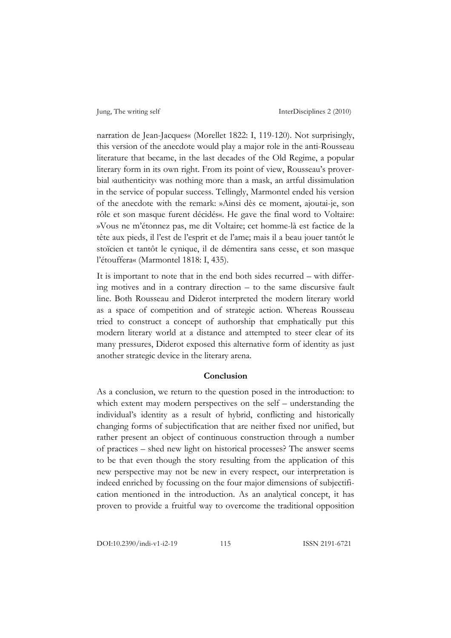narration de Jean-Jacques« (Morellet 1822: I, 119-120). Not surprisingly, this version of the anecdote would play a major role in the anti-Rousseau literature that became, in the last decades of the Old Regime, a popular literary form in its own right. From its point of view, Rousseau's proverbial *authenticity* was nothing more than a mask, an artful dissimulation in the service of popular success. Tellingly, Marmontel ended his version of the anecdote with the remark: »Ainsi dès ce moment, ajoutai-je, son rôle et son masque furent décidés«. He gave the final word to Voltaire: »Vous ne m'étonnez pas, me dit Voltaire; cet homme-là est factice de la tête aux pieds, il l'est de l'esprit et de l'ame; mais il a beau jouer tantôt le stoïcien et tantôt le cynique, il de démentira sans cesse, et son masque l'étouffera« (Marmontel 1818: I, 435).

It is important to note that in the end both sides recurred – with differing motives and in a contrary direction – to the same discursive fault line. Both Rousseau and Diderot interpreted the modern literary world as a space of competition and of strategic action. Whereas Rousseau tried to construct a concept of authorship that emphatically put this modern literary world at a distance and attempted to steer clear of its many pressures, Diderot exposed this alternative form of identity as just another strategic device in the literary arena.

#### **Conclusion**

As a conclusion, we return to the question posed in the introduction: to which extent may modern perspectives on the self – understanding the individual's identity as a result of hybrid, conflicting and historically changing forms of subjectification that are neither fixed nor unified, but rather present an object of continuous construction through a number of practices – shed new light on historical processes? The answer seems to be that even though the story resulting from the application of this new perspective may not be new in every respect, our interpretation is indeed enriched by focussing on the four major dimensions of subjectification mentioned in the introduction. As an analytical concept, it has proven to provide a fruitful way to overcome the traditional opposition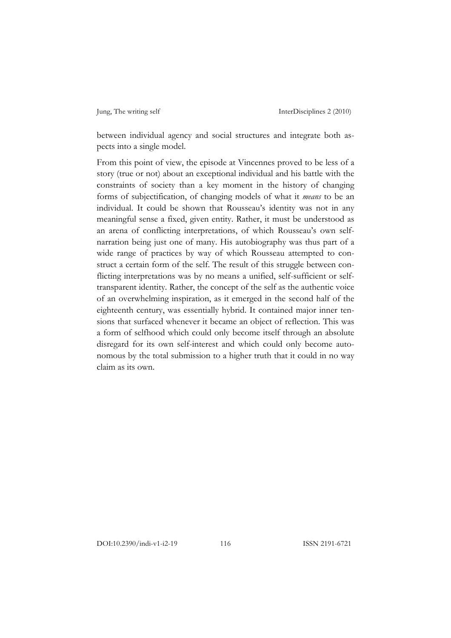between individual agency and social structures and integrate both aspects into a single model.

From this point of view, the episode at Vincennes proved to be less of a story (true or not) about an exceptional individual and his battle with the constraints of society than a key moment in the history of changing forms of subjectification, of changing models of what it *means* to be an individual. It could be shown that Rousseau's identity was not in any meaningful sense a fixed, given entity. Rather, it must be understood as an arena of conflicting interpretations, of which Rousseau's own selfnarration being just one of many. His autobiography was thus part of a wide range of practices by way of which Rousseau attempted to construct a certain form of the self. The result of this struggle between conflicting interpretations was by no means a unified, self-sufficient or selftransparent identity. Rather, the concept of the self as the authentic voice of an overwhelming inspiration, as it emerged in the second half of the eighteenth century, was essentially hybrid. It contained major inner tensions that surfaced whenever it became an object of reflection. This was a form of selfhood which could only become itself through an absolute disregard for its own self-interest and which could only become autonomous by the total submission to a higher truth that it could in no way claim as its own.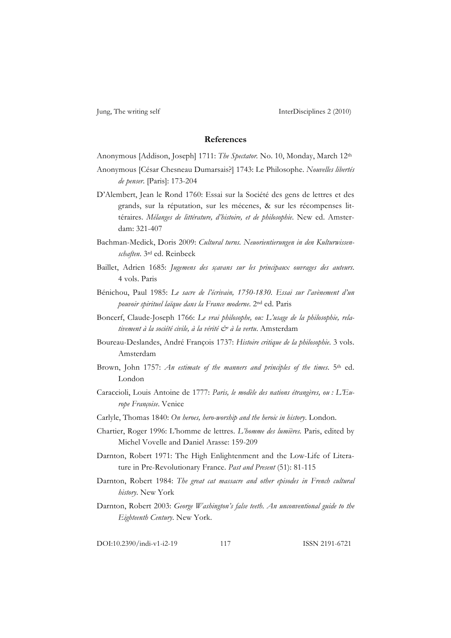#### **References**

Anonymous [Addison, Joseph] 1711: *The Spectator.* No. 10, Monday, March 12th

- Anonymous [César Chesneau Dumarsais?] 1743: Le Philosophe. *Nouvelles libertés de penser*. [Paris]: 173-204
- D'Alembert, Jean le Rond 1760: Essai sur la Société des gens de lettres et des grands, sur la réputation, sur les mécenes, & sur les récompenses littéraires. *Mélanges de littérature, d'histoire, et de philosophie*. New ed. Amsterdam: 321-407
- Bachman-Medick, Doris 2009: *Cultural turns. Neuorientierungen in den Kulturwissenschaften*. 3rd ed. Reinbeck
- Baillet, Adrien 1685: *Jugemens des sçavans sur les principaux ouvrages des auteurs*. 4 vols. Paris
- Bénichou, Paul 1985: *Le sacre de l'écrivain, 1750-1830. Essai sur l'avènement d'un pouvoir spirituel laïque dans la France moderne*. 2nd ed. Paris
- Boncerf, Claude-Joseph 1766: *Le vrai philosophe, ou: L'usage de la philosophie, relativement à la société civile, à la vérité & à la vertu*. Amsterdam
- Boureau-Deslandes, André François 1737: *Histoire critique de la philosophie*. 3 vols. Amsterdam
- Brown, John 1757: *An estimate of the manners and principles of the times*. 5<sup>th</sup> ed. London
- Caraccioli, Louis Antoine de 1777: *Paris, le modèle des nations étrangères, ou : L'Europe Françoise*. Venice
- Carlyle, Thomas 1840: *On heroes, hero-worship and the heroic in history*. London.
- Chartier, Roger 1996: L'homme de lettres. *L'homme des lumières.* Paris, edited by Michel Vovelle and Daniel Arasse: 159-209
- Darnton, Robert 1971: The High Enlightenment and the Low-Life of Literature in Pre-Revolutionary France. *Past and Present* (51): 81-115
- Darnton, Robert 1984: *The great cat massacre and other episodes in French cultural history*. New York
- Darnton, Robert 2003: *George Washington's false teeth. An unconventional guide to the Eighteenth Century*. New York.

DOI:10.2390/indi-v1-i2-19 117 ISSN 2191-6721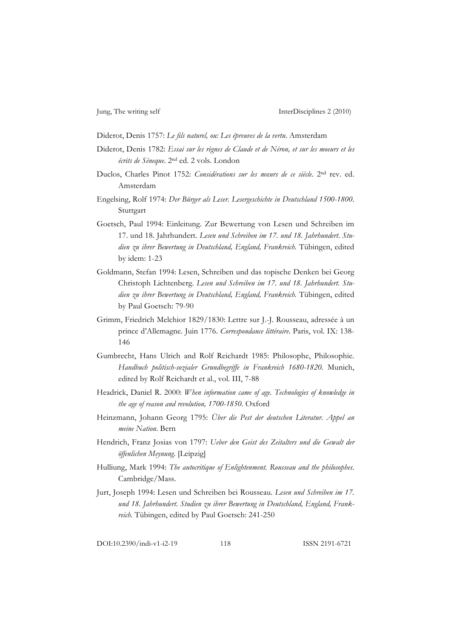Diderot, Denis 1757: *Le fils naturel, ou: Les épreuves de la vertu*. Amsterdam

- Diderot, Denis 1782: *Essai sur les règnes de Claude et de Néron, et sur les moeurs et les écrits de Séneque*. 2nd ed. 2 vols. London
- Duclos, Charles Pinot 1752: *Considérations sur les mœurs de ce siécle*. 2nd rev. ed. Amsterdam
- Engelsing, Rolf 1974: *Der Bürger als Leser. Lesergeschichte in Deutschland 1500-1800*. Stuttgart
- Goetsch, Paul 1994: Einleitung. Zur Bewertung von Lesen und Schreiben im 17. und 18. Jahrhundert. *Lesen und Schreiben im 17. und 18. Jahrhundert*. *Studien zu ihrer Bewertung in Deutschland, England, Frankreich.* Tübingen, edited by idem: 1-23
- Goldmann, Stefan 1994: Lesen, Schreiben und das topische Denken bei Georg Christoph Lichtenberg. *Lesen und Schreiben im 17. und 18. Jahrhundert*. *Studien zu ihrer Bewertung in Deutschland, England, Frankreich.* Tübingen, edited by Paul Goetsch: 79-90
- Grimm, Friedrich Melchior 1829/1830: Lettre sur J.-J. Rousseau, adressée à un prince d'Allemagne. Juin 1776. *Correspondance littéraire*. Paris, vol. IX: 138- 146
- Gumbrecht, Hans Ulrich and Rolf Reichardt 1985: Philosophe, Philosophie. *Handbuch politisch-sozialer Grundbegriffe in Frankreich 1680-1820.* Munich, edited by Rolf Reichardt et al., vol. III, 7-88
- Headrick, Daniel R. 2000: *When information came of age. Technologies of knowledge in the age of reason and revolution, 1700-1850*. Oxford
- Heinzmann, Johann Georg 1795: *Über die Pest der deutschen Literatur. Appel an meine Nation*. Bern
- Hendrich, Franz Josias von 1797: *Ueber den Geist des Zeitalters und die Gewalt der öffenlichen Meynung*. [Leipzig]
- Hulliung, Mark 1994: *The autocritique of Enlightenment. Rousseau and the philosophes*. Cambridge/Mass.
- Jurt, Joseph 1994: Lesen und Schreiben bei Rousseau. *Lesen und Schreiben im 17. und 18. Jahrhundert*. *Studien zu ihrer Bewertung in Deutschland, England, Frankreich.* Tübingen, edited by Paul Goetsch: 241-250

DOI:10.2390/indi-v1-i2-19 118 ISSN 2191-6721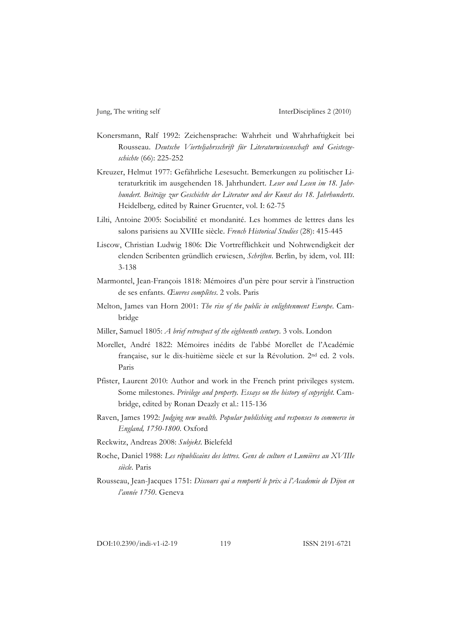- Konersmann, Ralf 1992: Zeichensprache: Wahrheit und Wahrhaftigkeit bei Rousseau. *Deutsche Vierteljahrsschrift für Literaturwissenschaft und Geistesgeschichte* (66): 225-252
- Kreuzer, Helmut 1977: Gefährliche Lesesucht. Bemerkungen zu politischer Literaturkritik im ausgehenden 18. Jahrhundert. *Leser und Lesen im 18. Jahrhundert. Beiträge zur Geschichte der Literatur und der Kunst des 18. Jahrhunderts*. Heidelberg, edited by Rainer Gruenter, vol. I: 62-75
- Lilti, Antoine 2005: Sociabilité et mondanité. Les hommes de lettres dans les salons parisiens au XVIIIe siècle. *French Historical Studies* (28): 415-445
- Liscow, Christian Ludwig 1806: Die Vortrefflichkeit und Nohtwendigkeit der elenden Scribenten gründlich erwiesen, *Schriften*. Berlin, by idem, vol. III: 3-138
- Marmontel, Jean-François 1818: Mémoires d'un père pour servir à l'instruction de ses enfants. *Œuvres complètes*. 2 vols. Paris
- Melton, James van Horn 2001: *The rise of the public in enlightenment Europe*. Cambridge
- Miller, Samuel 1805: *A brief retrospect of the eighteenth century*. 3 vols. London
- Morellet, André 1822: Mémoires inédits de l'abbé Morellet de l'Académie française, sur le dix-huitième siècle et sur la Révolution. 2nd ed. 2 vols. Paris
- Pfister, Laurent 2010: Author and work in the French print privileges system. Some milestones. *Privilege and property. Essays on the history of copyright*. Cambridge, edited by Ronan Deazly et al.: 115-136
- Raven, James 1992: *Judging new wealth. Popular publishing and responses to commerce in England, 1750-1800*. Oxford
- Reckwitz, Andreas 2008: *Subjekt*. Bielefeld
- Roche, Daniel 1988: *Les républicains des lettres. Gens de culture et Lumières au XVIIIe siècle*. Paris
- Rousseau, Jean-Jacques 1751: *Discours qui a remporté le prix à l'Academie de Dijon en l'année 1750*. Geneva

DOI:10.2390/indi-v1-i2-19 119 ISSN 2191-6721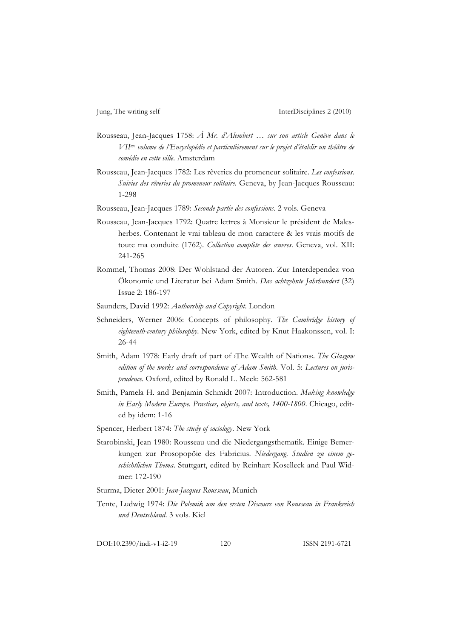- Rousseau, Jean-Jacques 1758: *À Mr. d'Alembert … sur son article Genève dans le VIIme volume de l'Encyclopédie et particulièrement sur le projet d'établir un théâtre de comédie en cette ville*. Amsterdam
- Rousseau, Jean-Jacques 1782: Les rêveries du promeneur solitaire. *Les confessions. Suivies des rêveries du promeneur solitaire*. Geneva, by Jean-Jacques Rousseau: 1-298
- Rousseau, Jean-Jacques 1789: *Seconde partie des confessions*. 2 vols. Geneva
- Rousseau, Jean-Jacques 1792: Quatre lettres à Monsieur le président de Malesherbes. Contenant le vrai tableau de mon caractere & les vrais motifs de toute ma conduite (1762). *Collection complète des œuvres*. Geneva, vol. XII: 241-265
- Rommel, Thomas 2008: Der Wohlstand der Autoren. Zur Interdependez von Ökonomie und Literatur bei Adam Smith. *Das achtzehnte Jahrhundert* (32) Issue 2: 186-197
- Saunders, David 1992: *Authorship and Copyright*. London
- Schneiders, Werner 2006: Concepts of philosophy. *The Cambridge history of eighteenth-century philosophy*. New York, edited by Knut Haakonssen, vol. I: 26-44
- Smith, Adam 1978: Early draft of part of <sup>y</sup>The Wealth of Nations. *The Glasgow* edition of the works and correspondence of Adam Smith. Vol. 5: Lectures on juris*prudence*. Oxford, edited by Ronald L. Meek: 562-581
- Smith, Pamela H. and Benjamin Schmidt 2007: Introduction. *Making knowledge in Early Modern Europe. Practices, objects, and texts, 1400-1800*. Chicago, edited by idem: 1-16
- Spencer, Herbert 1874: *The study of sociology*. New York
- Starobinski, Jean 1980: Rousseau und die Niedergangsthematik. Einige Bemerkungen zur Prosopopöie des Fabricius. *Niedergang. Studien zu einem geschichtlichen Thema*. Stuttgart, edited by Reinhart Koselleck and Paul Widmer: 172-190
- Sturma, Dieter 2001: *Jean-Jacques Rousseau*, Munich
- Tente, Ludwig 1974: *Die Polemik um den ersten Discours von Rousseau in Frankreich und Deutschland*. 3 vols. Kiel

DOI:10.2390/indi-v1-i2-19 120 ISSN 2191-6721